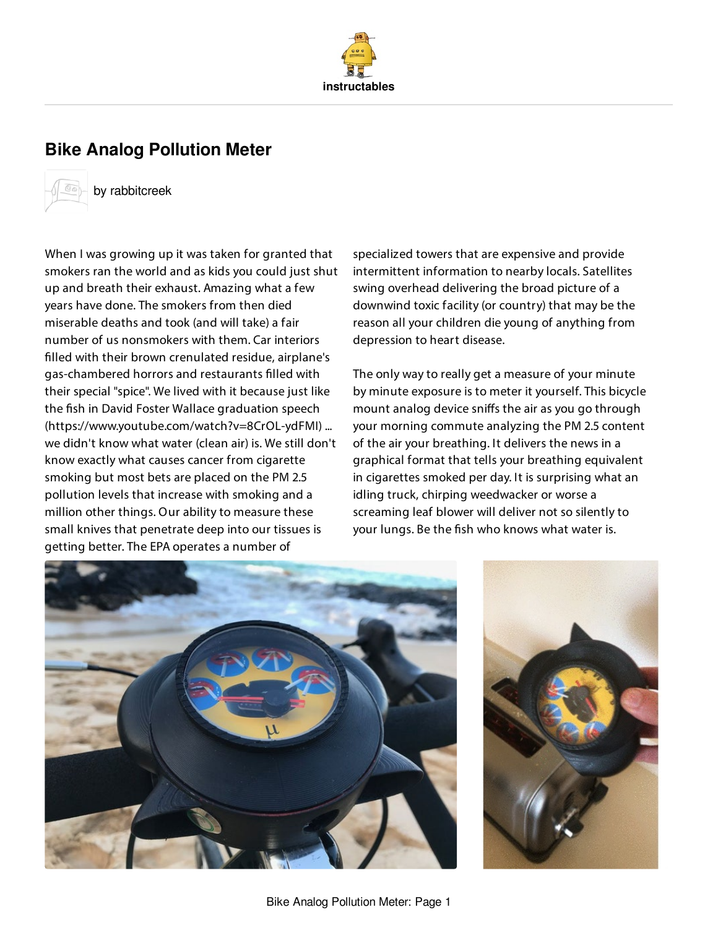

# **Bike Analog [Pollution](http://www.instructables.com/id/Bike-Analog-Pollution-Meter/) Meter**



by [rabbitcreek](http://www.instructables.com/member/rabbitcreek/)

When I was growing up it was taken for granted that smokers ran the world and as kids you could just shut up and breath their exhaust. Amazing what a few years have done. The smokers from then died miserable deaths and took (and will take) a fair number of us nonsmokers with them. Car interiors filled with their brown crenulated residue, airplane's gas-chambered horrors and restaurants filled with their special "spice". We lived with it because just like the fish in David Foster Wallace graduation speech (https://www.youtube.com/watch?v=8CrOL-ydFMI) ... we didn't know what water (clean air) is. We still don't know exactly what causes cancer from cigarette smoking but most bets are placed on the PM 2.5 pollution levels that increase with smoking and a million other things. Our ability to measure these small knives that penetrate deep into our tissues is getting better. The EPA operates a number of

specialized towers that are expensive and provide intermittent information to nearby locals. Satellites swing overhead delivering the broad picture of a downwind toxic facility (or country) that may be the reason all your children die young of anything from depression to heart disease.

The only way to really get a measure of your minute by minute exposure is to meter it yourself. This bicycle mount analog device sniffs the air as you go through your morning commute analyzing the PM 2.5 content of the air your breathing. It delivers the news in a graphical format that tells your breathing equivalent in cigarettes smoked per day. It is surprising what an idling truck, chirping weedwacker or worse a screaming leaf blower will deliver not so silently to your lungs. Be the fish who knows what water is.



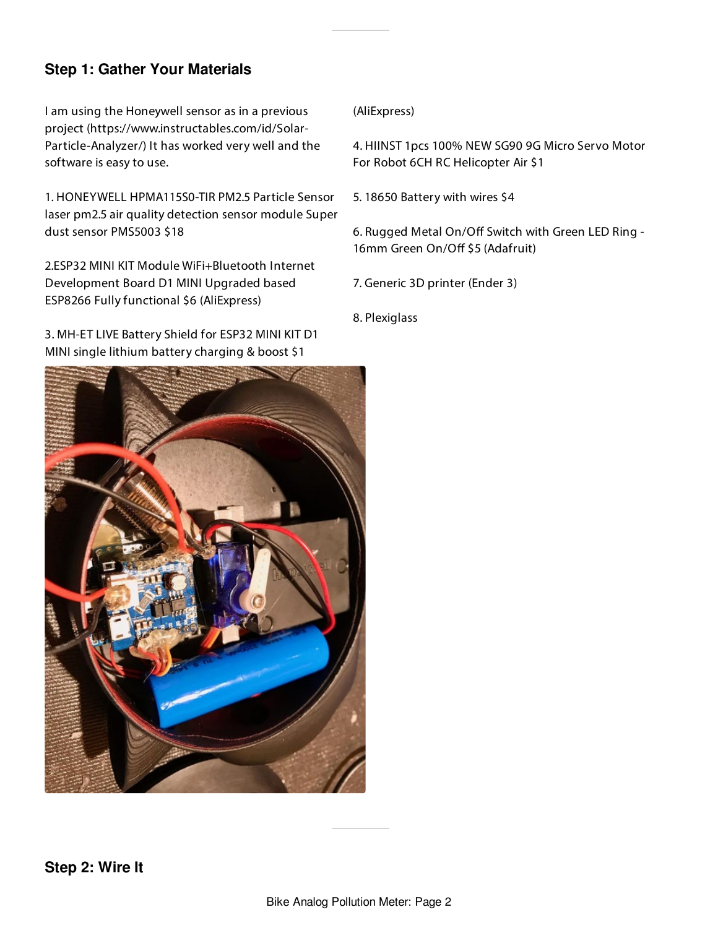## **Step 1: Gather Your Materials**

I am using the Honeywell sensor as in a previous project (https://www.instructables.com/id/Solar-Particle-Analyzer/) It has worked very well and the software is easy to use.

1. HONEYWELL HPMA115S0-TIR PM2.5 Particle Sensor laser pm2.5 air quality detection sensor module Super dust sensor PMS5003 \$18

2.ESP32 MINI KIT Module WiFi+Bluetooth Internet Development Board D1 MINI Upgraded based ESP8266 Fully functional \$6 (AliExpress)

3. MH-ET LIVE Battery Shield for ESP32 MINI KIT D1 MINI single lithium battery charging & boost \$1

#### (AliExpress)

4. HIINST 1pcs 100% NEW SG90 9G Micro Servo Motor For Robot 6CH RC Helicopter Air \$1

5. 18650 Battery with wires \$4

6. Rugged Metal On/Off Switch with Green LED Ring -16mm Green On/Off \$5 (Adafruit)

7. Generic 3D printer (Ender 3)

8. Plexiglass

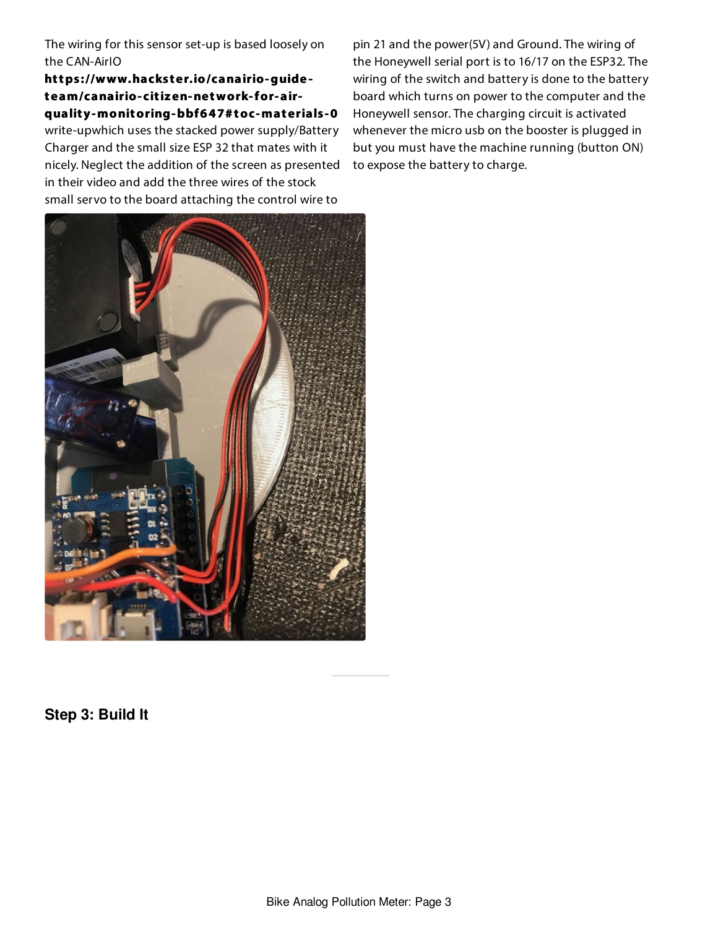The wiring for this sensor set-up is based loosely on the CAN-AirIO

**https ://www.hacks t er.io/canairio-guide t eam/canairio- citizen-network-for- airqualit y-monitoring-bbf647# toc-mat erials -0** write-upwhich uses the stacked power supply/Battery Charger and the small size ESP 32 that mates with it nicely. Neglect the addition of the screen as presented in their video and add the three wires of the stock small servo to the board attaching the control wire to

pin 21 and the power(5V) and Ground. The wiring of the Honeywell serial port is to 16/17 on the ESP32. The wiring of the switch and battery is done to the battery board which turns on power to the computer and the Honeywell sensor. The charging circuit is activated whenever the micro usb on the booster is plugged in but you must have the machine running (button ON) to expose the battery to charge.



**Step 3: Build It**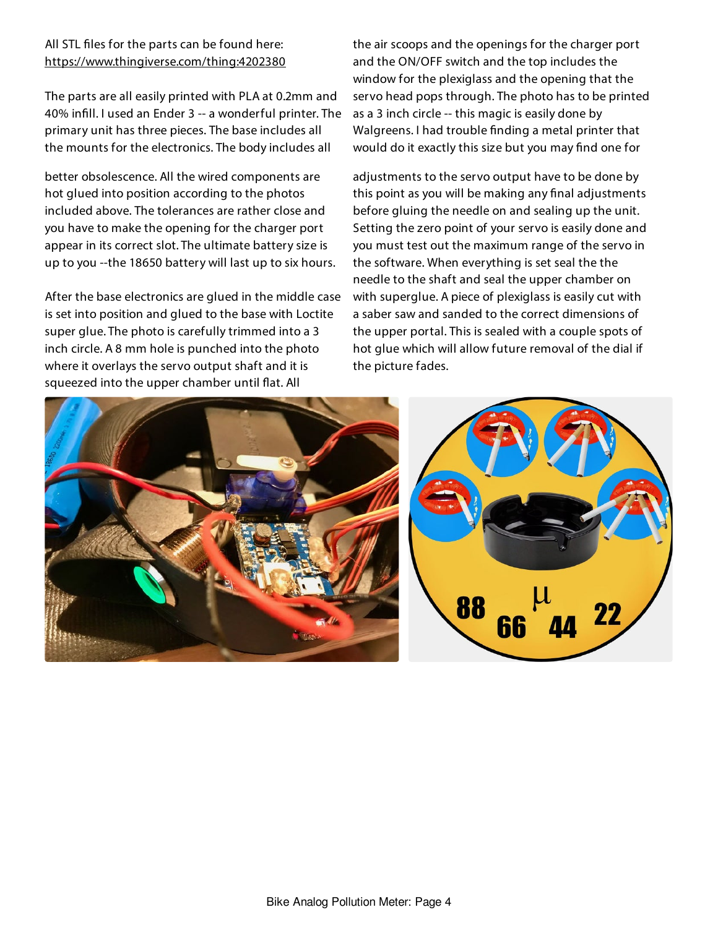#### All STL files for the parts can be found here: <https://www.thingiverse.com/thing:4202380>

The parts are all easily printed with PLA at 0.2mm and 40% infill. I used an Ender 3 -- a wonderful printer. The primary unit has three pieces. The base includes all the mounts for the electronics. The body includes all

better obsolescence. All the wired components are hot glued into position according to the photos included above. The tolerances are rather close and you have to make the opening for the charger port appear in its correct slot. The ultimate battery size is up to you --the 18650 battery will last up to six hours.

After the base electronics are glued in the middle case is set into position and glued to the base with Loctite super glue. The photo is carefully trimmed into a 3 inch circle. A 8 mm hole is punched into the photo where it overlays the servo output shaft and it is squeezed into the upper chamber until flat. All

the air scoops and the openings for the charger port and the ON/OFF switch and the top includes the window for the plexiglass and the opening that the servo head pops through. The photo has to be printed as a 3 inch circle -- this magic is easily done by Walgreens. I had trouble finding a metal printer that would do it exactly this size but you may find one for

adjustments to the servo output have to be done by this point as you will be making any final adjustments before gluing the needle on and sealing up the unit. Setting the zero point of your servo is easily done and you must test out the maximum range of the servo in the software. When everything is set seal the the needle to the shaft and seal the upper chamber on with superglue. A piece of plexiglass is easily cut with a saber saw and sanded to the correct dimensions of the upper portal. This is sealed with a couple spots of hot glue which will allow future removal of the dial if the picture fades.



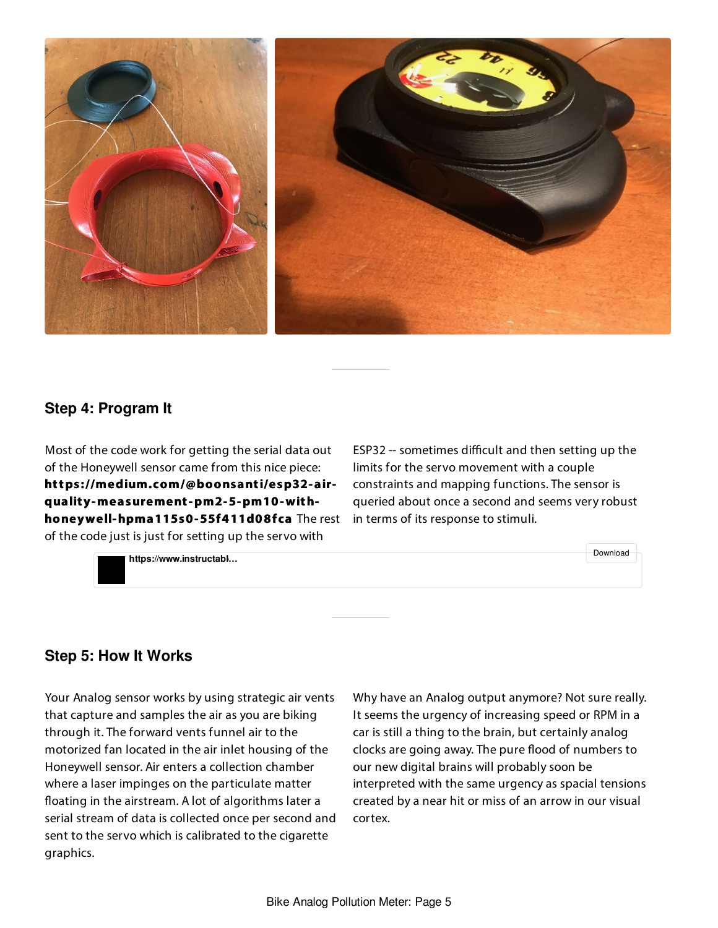

### **Step 4: Program It**

Most of the code work for getting the serial data out of the Honeywell sensor came from this nice piece: **https ://medium.com/@boonsanti/esp32- airqualit y-measurement-pm2-5-pm10-withhoneywell-hpma115s0-55f411d08fca** The rest of the code just is just for setting up the servo with

ESP32 -- sometimes difficult and then setting up the limits for the servo movement with a couple constraints and mapping functions. The sensor is queried about once a second and seems very robust in terms of its response to stimuli.



### **Step 5: How It Works**

Your Analog sensor works by using strategic air vents that capture and samples the air as you are biking through it. The forward vents funnel air to the motorized fan located in the air inlet housing of the Honeywell sensor. Air enters a collection chamber where a laser impinges on the particulate matter floating in the airstream. A lot of algorithms later a serial stream of data is collected once per second and sent to the servo which is calibrated to the cigarette graphics.

Why have an Analog output anymore? Not sure really. It seems the urgency of increasing speed or RPM in a car is still a thing to the brain, but certainly analog clocks are going away. The pure flood of numbers to our new digital brains will probably soon be interpreted with the same urgency as spacial tensions created by a near hit or miss of an arrow in our visual cortex.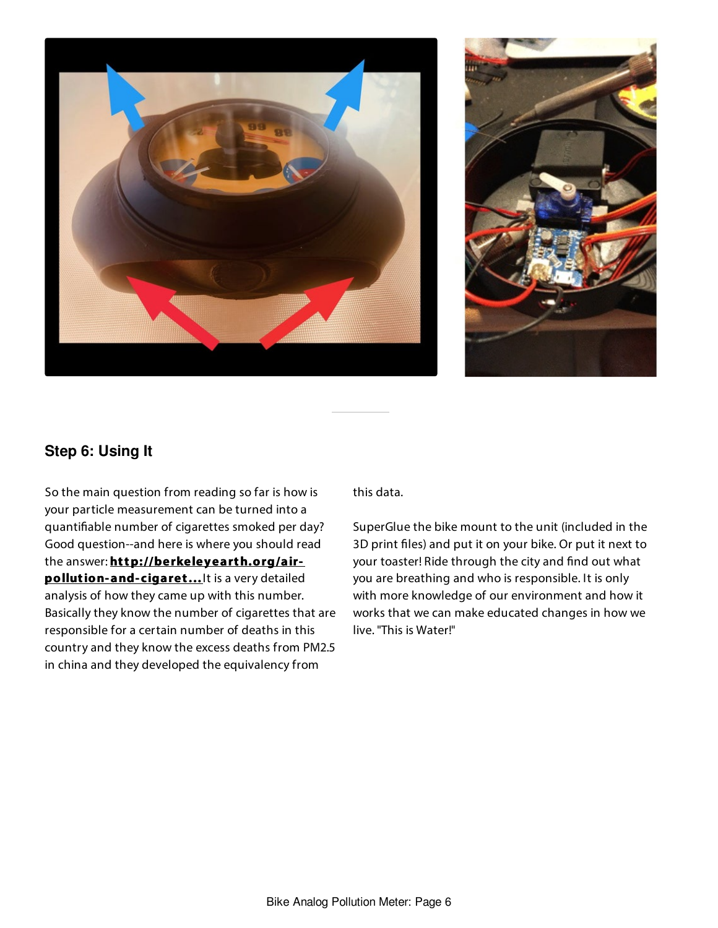



# **Step 6: Using It**

So the main question from reading so far is how is your particle measurement can be turned into a quantifiable number of cigarettes smoked per day? Good question--and here is where you should read the answer: **[http://berkeleyearth.org/air](http://berkeleyearth.org/air-pollution-and-cigarette-equivalence/)pollution- and- cigaret...** It is a very detailed analysis of how they came up with this number. Basically they know the number of cigarettes that are responsible for a certain number of deaths in this country and they know the excess deaths from PM2.5 in china and they developed the equivalency from

this data.

SuperGlue the bike mount to the unit (included in the 3D print files) and put it on your bike. Or put it next to your toaster! Ride through the city and find out what you are breathing and who is responsible. It is only with more knowledge of our environment and how it works that we can make educated changes in how we live. "This is Water!"